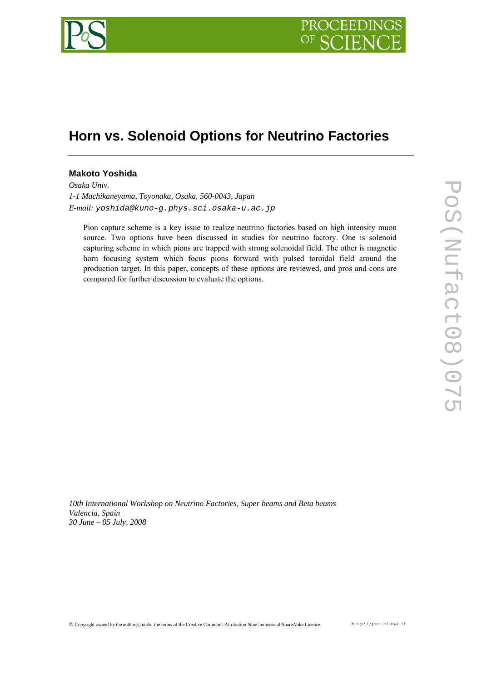

# **Horn vs. Solenoid Options for Neutrino Factories**

# **Makoto Yoshida**

*Osaka Univ. 1-1 Machikaneyama, Toyonaka, Osaka, 560-0043, Japan E-mail: yoshida@kuno-g.phys.sci.osaka-u.ac.jp* 

Pion capture scheme is a key issue to realize neutrino factories based on high intensity muon source. Two options have been discussed in studies for neutrino factory. One is solenoid capturing scheme in which pions are trapped with strong solenoidal field. The other is magnetic horn focusing system which focus pions forward with pulsed toroidal field around the production target. In this paper, concepts of these options are reviewed, and pros and cons are compared for further discussion to evaluate the options.

*10th International Workshop on Neutrino Factories, Super beams and Beta beams Valencia, Spain 30 June – 05 July, 2008*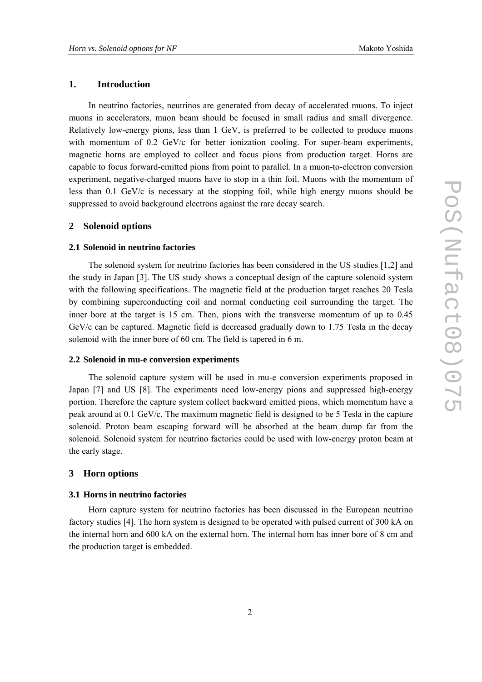## **1. Introduction**

In neutrino factories, neutrinos are generated from decay of accelerated muons. To inject muons in accelerators, muon beam should be focused in small radius and small divergence. Relatively low-energy pions, less than 1 GeV, is preferred to be collected to produce muons with momentum of 0.2 GeV/c for better ionization cooling. For super-beam experiments, magnetic horns are employed to collect and focus pions from production target. Horns are capable to focus forward-emitted pions from point to parallel. In a muon-to-electron conversion experiment, negative-charged muons have to stop in a thin foil. Muons with the momentum of less than 0.1 GeV/c is necessary at the stopping foil, while high energy muons should be suppressed to avoid background electrons against the rare decay search.

# **2 Solenoid options**

#### **2.1 Solenoid in neutrino factories**

The solenoid system for neutrino factories has been considered in the US studies [1,2] and the study in Japan [3]. The US study shows a conceptual design of the capture solenoid system with the following specifications. The magnetic field at the production target reaches 20 Tesla by combining superconducting coil and normal conducting coil surrounding the target. The inner bore at the target is 15 cm. Then, pions with the transverse momentum of up to 0.45 GeV/c can be captured. Magnetic field is decreased gradually down to 1.75 Tesla in the decay solenoid with the inner bore of 60 cm. The field is tapered in 6 m.

#### **2.2 Solenoid in mu-e conversion experiments**

The solenoid capture system will be used in mu-e conversion experiments proposed in Japan [7] and US [8]. The experiments need low-energy pions and suppressed high-energy portion. Therefore the capture system collect backward emitted pions, which momentum have a peak around at 0.1 GeV/c. The maximum magnetic field is designed to be 5 Tesla in the capture solenoid. Proton beam escaping forward will be absorbed at the beam dump far from the solenoid. Solenoid system for neutrino factories could be used with low-energy proton beam at the early stage.

# **3 Horn options**

### **3.1 Horns in neutrino factories**

Horn capture system for neutrino factories has been discussed in the European neutrino factory studies [4]. The horn system is designed to be operated with pulsed current of 300 kA on the internal horn and 600 kA on the external horn. The internal horn has inner bore of 8 cm and the production target is embedded.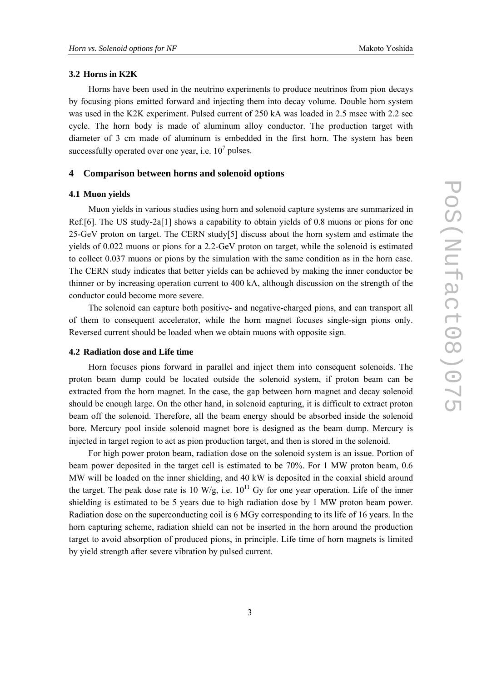#### **3.2 Horns in K2K**

Horns have been used in the neutrino experiments to produce neutrinos from pion decays by focusing pions emitted forward and injecting them into decay volume. Double horn system was used in the K2K experiment. Pulsed current of 250 kA was loaded in 2.5 msec with 2.2 sec cycle. The horn body is made of aluminum alloy conductor. The production target with diameter of 3 cm made of aluminum is embedded in the first horn. The system has been successfully operated over one year, i.e.  $10^7$  pulses.

#### **4 Comparison between horns and solenoid options**

#### **4.1 Muon yields**

Muon yields in various studies using horn and solenoid capture systems are summarized in Ref.[6]. The US study-2a[1] shows a capability to obtain yields of 0.8 muons or pions for one 25-GeV proton on target. The CERN study[5] discuss about the horn system and estimate the yields of 0.022 muons or pions for a 2.2-GeV proton on target, while the solenoid is estimated to collect 0.037 muons or pions by the simulation with the same condition as in the horn case. The CERN study indicates that better yields can be achieved by making the inner conductor be thinner or by increasing operation current to 400 kA, although discussion on the strength of the conductor could become more severe.

The solenoid can capture both positive- and negative-charged pions, and can transport all of them to consequent accelerator, while the horn magnet focuses single-sign pions only. Reversed current should be loaded when we obtain muons with opposite sign.

#### **4.2 Radiation dose and Life time**

Horn focuses pions forward in parallel and inject them into consequent solenoids. The proton beam dump could be located outside the solenoid system, if proton beam can be extracted from the horn magnet. In the case, the gap between horn magnet and decay solenoid should be enough large. On the other hand, in solenoid capturing, it is difficult to extract proton beam off the solenoid. Therefore, all the beam energy should be absorbed inside the solenoid bore. Mercury pool inside solenoid magnet bore is designed as the beam dump. Mercury is injected in target region to act as pion production target, and then is stored in the solenoid.

For high power proton beam, radiation dose on the solenoid system is an issue. Portion of beam power deposited in the target cell is estimated to be 70%. For 1 MW proton beam, 0.6 MW will be loaded on the inner shielding, and 40 kW is deposited in the coaxial shield around the target. The peak dose rate is 10 W/g, i.e.  $10^{11}$  Gy for one year operation. Life of the inner shielding is estimated to be 5 years due to high radiation dose by 1 MW proton beam power. Radiation dose on the superconducting coil is 6 MGy corresponding to its life of 16 years. In the horn capturing scheme, radiation shield can not be inserted in the horn around the production target to avoid absorption of produced pions, in principle. Life time of horn magnets is limited by yield strength after severe vibration by pulsed current.